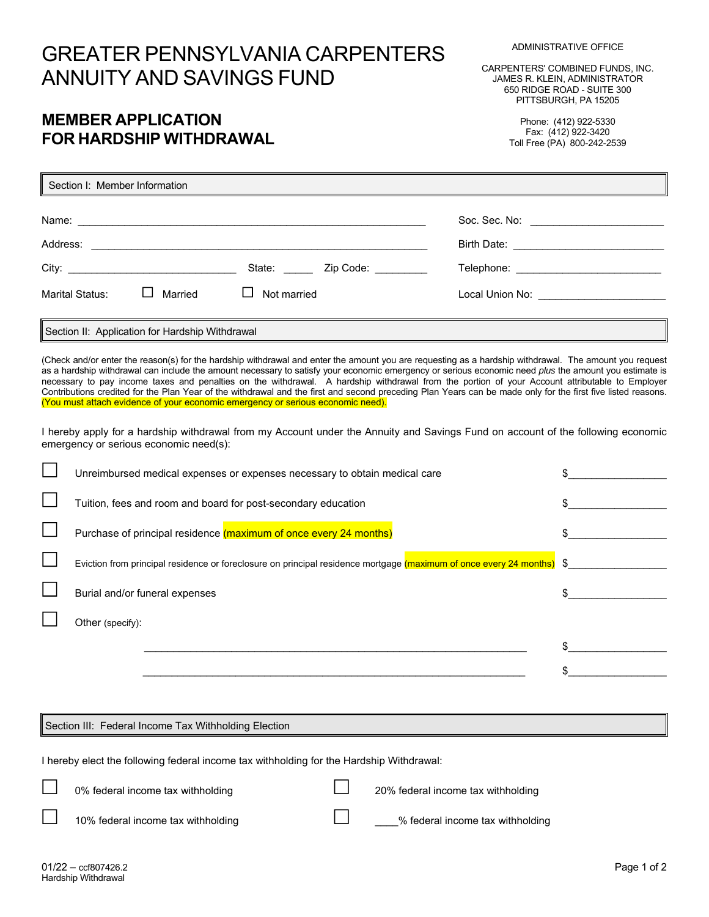# GREATER PENNSYLVANIA CARPENTERS ANNUITY AND SAVINGS FUND

CARPENTERS' COMBINED FUNDS, INC. JAMES R. KLEIN, ADMINISTRATOR 650 RIDGE ROAD - SUITE 300 PITTSBURGH, PA 15205

## **MEMBER APPLICATION FOR HARDSHIP WITHDRAWAL**

Phone: (412) 922-5330 Fax: (412) 922-3420 Toll Free (PA) 800-242-2539

| Section I: Member Information                   |                                                             |                                          |
|-------------------------------------------------|-------------------------------------------------------------|------------------------------------------|
|                                                 |                                                             | Soc. Sec. No: _________________________  |
| Address:                                        | <u> 1989 - Andrea Andrews, amerikansk politik (d. 1989)</u> |                                          |
|                                                 | Zip Code: <b>Alla</b><br>State: <b>State:</b>               |                                          |
| Married<br>Marital Status:                      | Not married                                                 | Local Union No: ________________________ |
| Section II: Application for Hardship Withdrawal |                                                             |                                          |

(Check and/or enter the reason(s) for the hardship withdrawal and enter the amount you are requesting as a hardship withdrawal. The amount you request as a hardship withdrawal can include the amount necessary to satisfy your economic emergency or serious economic need *plus* the amount you estimate is necessary to pay income taxes and penalties on the withdrawal. A hardship withdrawal from the portion of your Account attributable to Employer Contributions credited for the Plan Year of the withdrawal and the first and second preceding Plan Years can be made only for the first five listed reasons. (You must attach evidence of your economic emergency or serious economic need).

I hereby apply for a hardship withdrawal from my Account under the Annuity and Savings Fund on account of the following economic emergency or serious economic need(s):

| Unreimbursed medical expenses or expenses necessary to obtain medical care                                            |  |
|-----------------------------------------------------------------------------------------------------------------------|--|
| Tuition, fees and room and board for post-secondary education                                                         |  |
| Purchase of principal residence (maximum of once every 24 months)                                                     |  |
| Eviction from principal residence or foreclosure on principal residence mortgage (maximum of once every 24 months) \$ |  |
| Burial and/or funeral expenses                                                                                        |  |
| Other (specify):                                                                                                      |  |
|                                                                                                                       |  |
|                                                                                                                       |  |
|                                                                                                                       |  |

Section III: Federal Income Tax Withholding Election

I hereby elect the following federal income tax withholding for the Hardship Withdrawal:

0% federal income tax withholding and 100% federal income tax withholding

10% federal income tax withholding  $\Box$  y federal income tax withholding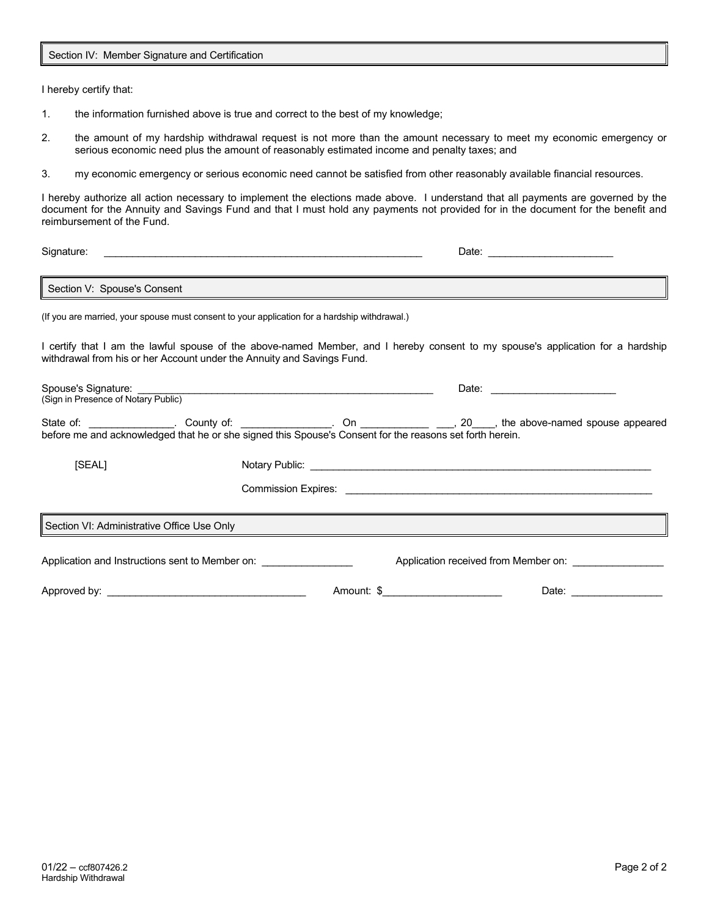Section IV: Member Signature and Certification

I hereby certify that:

- 1. the information furnished above is true and correct to the best of my knowledge;
- 2. the amount of my hardship withdrawal request is not more than the amount necessary to meet my economic emergency or serious economic need plus the amount of reasonably estimated income and penalty taxes; and
- 3. my economic emergency or serious economic need cannot be satisfied from other reasonably available financial resources.

I hereby authorize all action necessary to implement the elections made above. I understand that all payments are governed by the document for the Annuity and Savings Fund and that I must hold any payments not provided for in the document for the benefit and reimbursement of the Fund.

| Signature:                                                                                                                                                                                                |  |                                                                                               |                                                           |                                                                                                                                                                                                                                |  |  |  |
|-----------------------------------------------------------------------------------------------------------------------------------------------------------------------------------------------------------|--|-----------------------------------------------------------------------------------------------|-----------------------------------------------------------|--------------------------------------------------------------------------------------------------------------------------------------------------------------------------------------------------------------------------------|--|--|--|
| Section V: Spouse's Consent<br><u> 1989 - Jan James Barnett, fransk politik (d. 1989)</u>                                                                                                                 |  |                                                                                               |                                                           |                                                                                                                                                                                                                                |  |  |  |
|                                                                                                                                                                                                           |  | (If you are married, your spouse must consent to your application for a hardship withdrawal.) |                                                           |                                                                                                                                                                                                                                |  |  |  |
| I certify that I am the lawful spouse of the above-named Member, and I hereby consent to my spouse's application for a hardship<br>withdrawal from his or her Account under the Annuity and Savings Fund. |  |                                                                                               |                                                           |                                                                                                                                                                                                                                |  |  |  |
|                                                                                                                                                                                                           |  | Spouse's Signature:<br>(Sign in Presence of Notary Public)                                    |                                                           |                                                                                                                                                                                                                                |  |  |  |
|                                                                                                                                                                                                           |  |                                                                                               |                                                           |                                                                                                                                                                                                                                |  |  |  |
| [SEAL]                                                                                                                                                                                                    |  |                                                                                               |                                                           |                                                                                                                                                                                                                                |  |  |  |
|                                                                                                                                                                                                           |  |                                                                                               |                                                           |                                                                                                                                                                                                                                |  |  |  |
| Section VI: Administrative Office Use Only                                                                                                                                                                |  |                                                                                               |                                                           |                                                                                                                                                                                                                                |  |  |  |
| Application and Instructions sent to Member on: _________________                                                                                                                                         |  |                                                                                               | Application received from Member on: ____________________ |                                                                                                                                                                                                                                |  |  |  |
|                                                                                                                                                                                                           |  |                                                                                               | Amount: \$                                                | Date: the contract of the contract of the contract of the contract of the contract of the contract of the contract of the contract of the contract of the contract of the contract of the contract of the contract of the cont |  |  |  |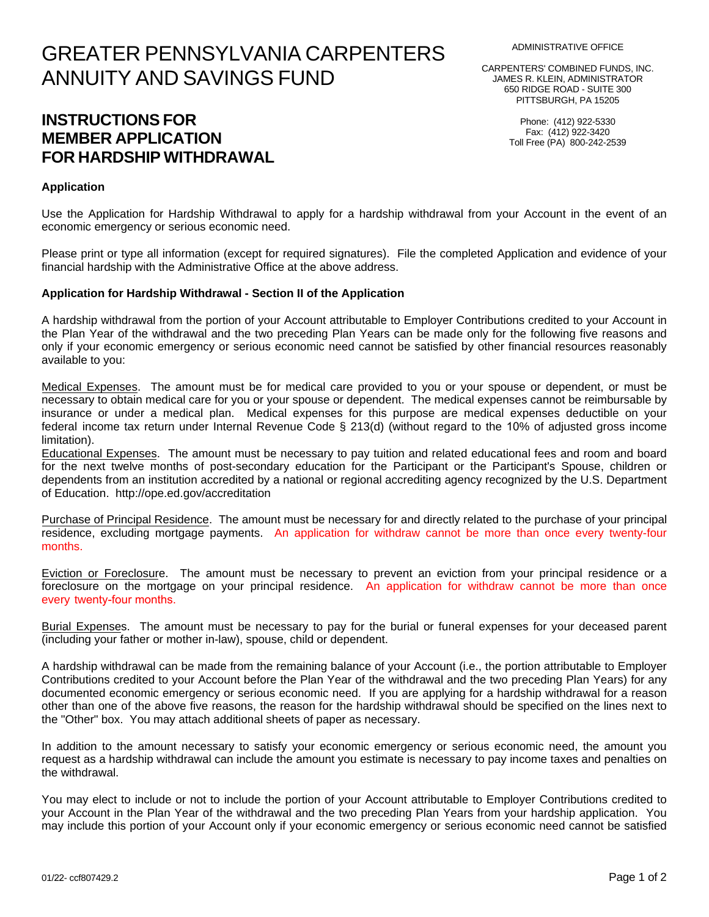# GREATER PENNSYLVANIA CARPENTERS ANNUITY AND SAVINGS FUND

## **INSTRUCTIONS FOR MEMBER APPLICATION FOR HARDSHIP WITHDRAWAL**

### **Application**

Use the Application for Hardship Withdrawal to apply for a hardship withdrawal from your Account in the event of an economic emergency or serious economic need.

Please print or type all information (except for required signatures). File the completed Application and evidence of your financial hardship with the Administrative Office at the above address.

### **Application for Hardship Withdrawal - Section II of the Application**

A hardship withdrawal from the portion of your Account attributable to Employer Contributions credited to your Account in the Plan Year of the withdrawal and the two preceding Plan Years can be made only for the following five reasons and only if your economic emergency or serious economic need cannot be satisfied by other financial resources reasonably available to you:

Medical Expenses. The amount must be for medical care provided to you or your spouse or dependent, or must be necessary to obtain medical care for you or your spouse or dependent. The medical expenses cannot be reimbursable by insurance or under a medical plan. Medical expenses for this purpose are medical expenses deductible on your federal income tax return under Internal Revenue Code § 213(d) (without regard to the 10% of adjusted gross income limitation).

Educational Expenses. The amount must be necessary to pay tuition and related educational fees and room and board for the next twelve months of post-secondary education for the Participant or the Participant's Spouse, children or dependents from an institution accredited by a national or regional accrediting agency recognized by the U.S. Department of Education. http://ope.ed.gov/accreditation

Purchase of Principal Residence. The amount must be necessary for and directly related to the purchase of your principal residence, excluding mortgage payments. An application for withdraw cannot be more than once every twenty-four months.

Eviction or Foreclosure. The amount must be necessary to prevent an eviction from your principal residence or a foreclosure on the mortgage on your principal residence. An application for withdraw cannot be more than once every twenty-four months.

Burial Expenses. The amount must be necessary to pay for the burial or funeral expenses for your deceased parent (including your father or mother in-law), spouse, child or dependent.

A hardship withdrawal can be made from the remaining balance of your Account (i.e., the portion attributable to Employer Contributions credited to your Account before the Plan Year of the withdrawal and the two preceding Plan Years) for any documented economic emergency or serious economic need. If you are applying for a hardship withdrawal for a reason other than one of the above five reasons, the reason for the hardship withdrawal should be specified on the lines next to the "Other" box. You may attach additional sheets of paper as necessary.

In addition to the amount necessary to satisfy your economic emergency or serious economic need, the amount you request as a hardship withdrawal can include the amount you estimate is necessary to pay income taxes and penalties on the withdrawal.

You may elect to include or not to include the portion of your Account attributable to Employer Contributions credited to your Account in the Plan Year of the withdrawal and the two preceding Plan Years from your hardship application. You may include this portion of your Account only if your economic emergency or serious economic need cannot be satisfied

JAMES R. KLEIN, ADMINISTRATOR 650 RIDGE ROAD - SUITE 300 PITTSBURGH, PA 15205

> Phone: (412) 922-5330 Fax: (412) 922-3420 Toll Free (PA) 800-242-2539